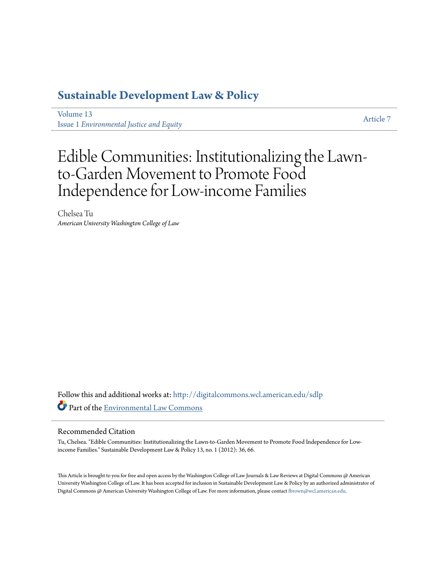### **[Sustainable Development Law & Policy](http://digitalcommons.wcl.american.edu/sdlp?utm_source=digitalcommons.wcl.american.edu%2Fsdlp%2Fvol13%2Fiss1%2F7&utm_medium=PDF&utm_campaign=PDFCoverPages)**

[Volume 13](http://digitalcommons.wcl.american.edu/sdlp/vol13?utm_source=digitalcommons.wcl.american.edu%2Fsdlp%2Fvol13%2Fiss1%2F7&utm_medium=PDF&utm_campaign=PDFCoverPages) Issue 1 *[Environmental Justice and Equity](http://digitalcommons.wcl.american.edu/sdlp/vol13/iss1?utm_source=digitalcommons.wcl.american.edu%2Fsdlp%2Fvol13%2Fiss1%2F7&utm_medium=PDF&utm_campaign=PDFCoverPages)*

[Article 7](http://digitalcommons.wcl.american.edu/sdlp/vol13/iss1/7?utm_source=digitalcommons.wcl.american.edu%2Fsdlp%2Fvol13%2Fiss1%2F7&utm_medium=PDF&utm_campaign=PDFCoverPages)

## Edible Communities: Institutionalizing the Lawnto-Garden Movement to Promote Food Independence for Low-income Families

Chelsea Tu *American University Washington College of Law*

Follow this and additional works at: [http://digitalcommons.wcl.american.edu/sdlp](http://digitalcommons.wcl.american.edu/sdlp?utm_source=digitalcommons.wcl.american.edu%2Fsdlp%2Fvol13%2Fiss1%2F7&utm_medium=PDF&utm_campaign=PDFCoverPages) Part of the [Environmental Law Commons](http://network.bepress.com/hgg/discipline/599?utm_source=digitalcommons.wcl.american.edu%2Fsdlp%2Fvol13%2Fiss1%2F7&utm_medium=PDF&utm_campaign=PDFCoverPages)

#### Recommended Citation

Tu, Chelsea. "Edible Communities: Institutionalizing the Lawn-to-Garden Movement to Promote Food Independence for Lowincome Families." Sustainable Development Law & Policy 13, no. 1 (2012): 36, 66.

This Article is brought to you for free and open access by the Washington College of Law Journals & Law Reviews at Digital Commons @ American University Washington College of Law. It has been accepted for inclusion in Sustainable Development Law & Policy by an authorized administrator of Digital Commons @ American University Washington College of Law. For more information, please contact [fbrown@wcl.american.edu](mailto:fbrown@wcl.american.edu).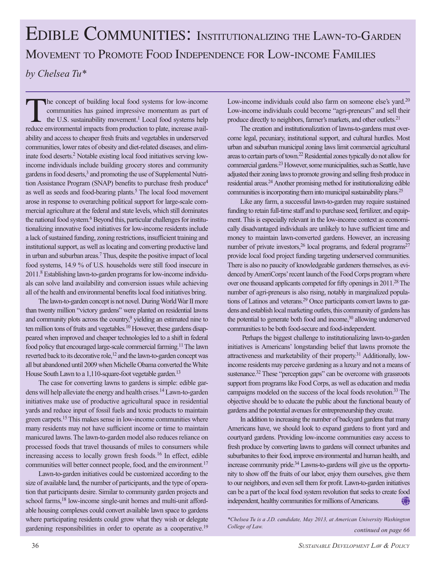# EDIBLE COMMUNITIES: INSTITUTIONALIZING THE LAWN-TO-GARDEN MOVEMENT TO PROMOTE FOOD INDEPENDENCE FOR LOW-INCOME FAMILIES *by Chelsea Tu\**

The concept of building local food systems for low-income communities has gained impressive momentum as part of the U.S. sustainability movement.<sup>1</sup> Local food systems help reduce environmental impacts from production to plate, increase availability and access to cheaper fresh fruits and vegetables in underserved communities, lower rates of obesity and diet-related diseases, and eliminate food deserts.2 Notable existing local food initiatives serving lowincome individuals include building grocery stores and community gardens in food deserts,<sup>3</sup> and promoting the use of Supplemental Nutrition Assistance Program (SNAP) benefits to purchase fresh produce4 as well as seeds and food-bearing plants.<sup>5</sup> The local food movement arose in response to overarching political support for large-scale commercial agriculture at the federal and state levels, which still dominates the national food system.<sup>6</sup> Beyond this, particular challenges for institutionalizing innovative food initiatives for low-income residents include a lack of sustained funding, zoning restrictions, insufficient training and institutional support, as well as locating and converting productive land in urban and suburban areas.7 Thus, despite the positive impact of local food systems, 14.9 % of U.S. households were still food insecure in 2011.8 Establishing lawn-to-garden programs for low-income individuals can solve land availability and conversion issues while achieving all of the health and environmental benefits local food initiatives bring.

The lawn-to-garden concept is not novel. During World War II more than twenty million "victory gardens" were planted on residential lawns and community plots across the country,<sup>9</sup> yielding an estimated nine to ten million tons of fruits and vegetables.<sup>10</sup> However, these gardens disappeared when improved and cheaper technologies led to a shift in federal food policy that encouraged large-scale commercial farming.<sup>11</sup> The lawn reverted back to its decorative role,<sup>12</sup> and the lawn-to-garden concept was all but abandoned until 2009 when Michelle Obama converted the White House South Lawn to a 1,110-square-foot vegetable garden.<sup>13</sup>

The case for converting lawns to gardens is simple: edible gardens will help alleviate the energy and health crises.14 Lawn-to-garden initiatives make use of productive agricultural space in residential yards and reduce input of fossil fuels and toxic products to maintain green carpets.15 This makes sense in low-income communities where many residents may not have sufficient income or time to maintain manicured lawns. The lawn-to-garden model also reduces reliance on processed foods that travel thousands of miles to consumers while increasing access to locally grown fresh foods.<sup>16</sup> In effect, edible communities will better connect people, food, and the environment.<sup>17</sup>

Lawn-to-garden initiatives could be customized according to the size of available land, the number of participants, and the type of operation that participants desire. Similar to community garden projects and school farms,<sup>18</sup> low-income single-unit homes and multi-unit affordable housing complexes could convert available lawn space to gardens where participating residents could grow what they wish or delegate gardening responsibilities in order to operate as a cooperative.<sup>19</sup>

Low-income individuals could also farm on someone else's yard.<sup>20</sup> Low-income individuals could become "agri-preneurs" and sell their produce directly to neighbors, farmer's markets, and other outlets.21

The creation and institutionalization of lawns-to-gardens must overcome legal, pecuniary, institutional support, and cultural hurdles. Most urban and suburban municipal zoning laws limit commercial agricultural areas to certain parts of town.22 Residential zones typically do not allow for commercial gardens.23 However, some municipalities, such as Seattle, have adjusted their zoning laws to promote growing and selling fresh produce in residential areas.24 Another promising method for institutionalizing edible communities is incorporating them into municipal sustainability plans.<sup>25</sup>

Like any farm, a successful lawn-to-garden may require sustained funding to retain full-time staff and to purchase seed, fertilizer, and equipment. This is especially relevant in the low-income context as economically disadvantaged individuals are unlikely to have sufficient time and money to maintain lawn-converted gardens. However, an increasing number of private investors,  $26$  local programs, and federal programs $27$ provide local food project funding targeting underserved communities. There is also no paucity of knowledgeable gardeners themselves, as evidenced by AmeriCorps' recent launch of the Food Corps program where over one thousand applicants competed for fifty openings in 2011.<sup>28</sup> The number of agri-preneurs is also rising, notably in marginalized populations of Latinos and veterans.<sup>29</sup> Once participants convert lawns to gardens and establish local marketing outlets, this community of gardens has the potential to generate both food and income,<sup>30</sup> allowing underserved communities to be both food-secure and food-independent.

 Perhaps the biggest challenge to institutionalizing lawn-to-garden initiatives is Americans' longstanding belief that lawns promote the attractiveness and marketability of their property.<sup>31</sup> Additionally, lowincome residents may perceive gardening as a luxury and not a means of sustenance.<sup>32</sup> These "perception gaps" can be overcome with grassroots support from programs like Food Corps, as well as education and media campaigns modeled on the success of the local foods revolution.<sup>33</sup> The objective should be to educate the public about the functional beauty of gardens and the potential avenues for entrepreneurship they create.

In addition to increasing the number of backyard gardens that many Americans have, we should look to expand gardens to front yard and courtyard gardens. Providing low-income communities easy access to fresh produce by converting lawns to gardens will connect urbanites and suburbanites to their food, improve environmental and human health, and increase community pride.34 Lawns-to-gardens will give us the opportunity to show off the fruits of our labor, enjoy them ourselves, give them to our neighbors, and even sell them for profit. Lawn-to-garden initiatives can be a part of the local food system revolution that seeks to create food independent, healthy communities for millions of Americans. \$

*\*Chelsea Tu is a J.D. candidate, May 2013, at American University Washington College of Law. continued on page 66*